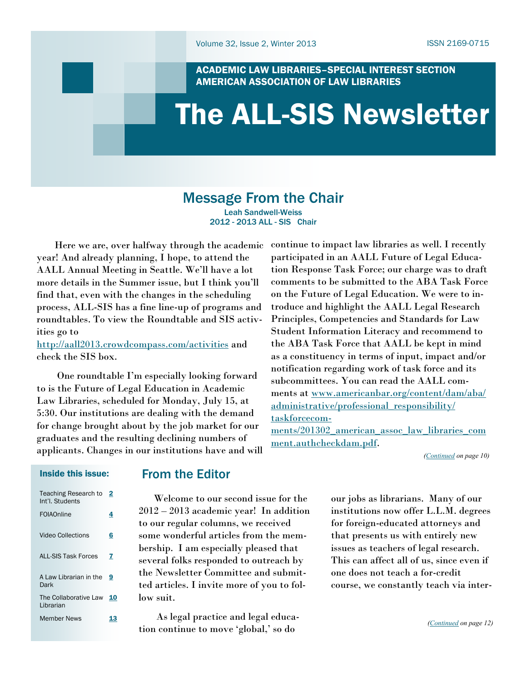ACADEMIC LAW LIBRARIES–SPECIAL INTEREST SECTION AMERICAN ASSOCIATION OF LAW LIBRARIES

# <span id="page-0-0"></span>The ALL-SIS Newsletter

## Message From the Chair

Leah Sandwell-Weiss 2012 - 2013 ALL - SIS Chair

 Here we are, over halfway through the academic year! And already planning, I hope, to attend the AALL Annual Meeting in Seattle. We'll have a lot more details in the Summer issue, but I think you'll find that, even with the changes in the scheduling process, ALL-SIS has a fine line-up of programs and roundtables. To view the Roundtable and SIS activities go to

<http://aall2013.crowdcompass.com/activities> and check the SIS box.

 One roundtable I'm especially looking forward to is the Future of Legal Education in Academic Law Libraries, scheduled for Monday, July 15, at 5:30. Our institutions are dealing with the demand for change brought about by the job market for our graduates and the resulting declining numbers of applicants. Changes in our institutions have and will continue to impact law libraries as well. I recently participated in an AALL Future of Legal Education Response Task Force; our charge was to draft comments to be submitted to the ABA Task Force on the Future of Legal Education. We were to introduce and highlight the AALL Legal Research Principles, Competencies and Standards for Law Student Information Literacy and recommend to the ABA Task Force that AALL be kept in mind as a constituency in terms of input, impact and/or notification regarding work of task force and its subcommittees. You can read the AALL comments at [www.americanbar.org/content/dam/aba/](http://www.americanbar.org/content/dam/aba/administrative/professional_responsibility/taskforcecomments/201302_american_assoc_law_libraries_comment.authcheckdam.pdf) [administrative/professional\\_responsibility/](http://www.americanbar.org/content/dam/aba/administrative/professional_responsibility/taskforcecomments/201302_american_assoc_law_libraries_comment.authcheckdam.pdf) [taskforcecom-](http://www.americanbar.org/content/dam/aba/administrative/professional_responsibility/taskforcecomments/201302_american_assoc_law_libraries_comment.authcheckdam.pdf)

[ments/201302\\_american\\_assoc\\_law\\_libraries\\_com](http://www.americanbar.org/content/dam/aba/administrative/professional_responsibility/taskforcecomments/201302_american_assoc_law_libraries_comment.authcheckdam.pdf) [ment.authcheckdam.pdf.](http://www.americanbar.org/content/dam/aba/administrative/professional_responsibility/taskforcecomments/201302_american_assoc_law_libraries_comment.authcheckdam.pdf)

*[\(Continued](#page-9-0) on page 10)*

#### Inside this issue:

| <b>Teaching Research to</b><br>Int'l. Students | 2  |
|------------------------------------------------|----|
| FOIAOnline                                     | 4  |
| Video Collections                              | 6  |
| <b>ALL-SIS Task Forces</b>                     | 7  |
| A Law Librarian in the<br>Dark                 | 9  |
| The Collaborative Law<br>I ibrarian            | 10 |
| <b>Member News</b>                             |    |

### From the Editor

 Welcome to our second issue for the 2012 – 2013 academic year! In addition to our regular columns, we received some wonderful articles from the membership. I am especially pleased that several folks responded to outreach by the Newsletter Committee and submitted articles. I invite more of you to follow suit.

 As legal practice and legal education continue to move ‗global,' so do

our jobs as librarians. Many of our institutions now offer L.L.M. degrees for foreign-educated attorneys and that presents us with entirely new issues as teachers of legal research. This can affect all of us, since even if one does not teach a for-credit course, we constantly teach via inter-

*([Continued](#page-11-0) on page 12)*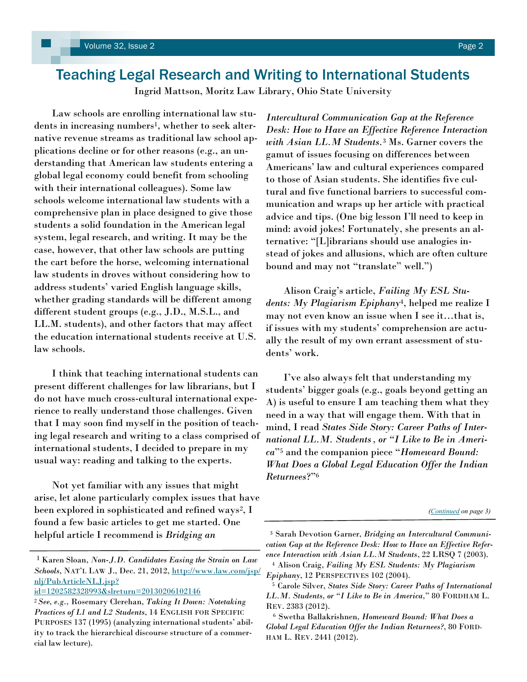## <span id="page-1-0"></span>Teaching Legal Research and Writing to International Students

Ingrid Mattson, Moritz Law Library, Ohio State University

 Law schools are enrolling international law students in increasing numbers<sup>1</sup>, whether to seek alternative revenue streams as traditional law school applications decline or for other reasons (e.g., an understanding that American law students entering a global legal economy could benefit from schooling with their international colleagues). Some law schools welcome international law students with a comprehensive plan in place designed to give those students a solid foundation in the American legal system, legal research, and writing. It may be the case, however, that other law schools are putting the cart before the horse, welcoming international law students in droves without considering how to address students' varied English language skills, whether grading standards will be different among different student groups (e.g., J.D., M.S.L., and LL.M. students), and other factors that may affect the education international students receive at U.S. law schools.

 I think that teaching international students can present different challenges for law librarians, but I do not have much cross-cultural international experience to really understand those challenges. Given that I may soon find myself in the position of teaching legal research and writing to a class comprised of international students, I decided to prepare in my usual way: reading and talking to the experts.

 Not yet familiar with any issues that might arise, let alone particularly complex issues that have been explored in sophisticated and refined ways<sup>2</sup>, I found a few basic articles to get me started. One helpful article I recommend is *Bridging an* 

[id=1202582328993&slreturn=20130206102146](http://www.law.com/jsp/nlj/PubArticleNLJ.jsp?id=1202582328993&slreturn=20130206102146)

*Intercultural Communication Gap at the Reference Desk: How to Have an Effective Reference Interaction with Asian LL.M Students.*<sup>3</sup> Ms. Garner covers the gamut of issues focusing on differences between Americans' law and cultural experiences compared to those of Asian students. She identifies five cultural and five functional barriers to successful communication and wraps up her article with practical advice and tips. (One big lesson I'll need to keep in mind: avoid jokes! Fortunately, she presents an alternative: "[L]ibrarians should use analogies instead of jokes and allusions, which are often culture bound and may not "translate" well.")

 Alison Craig's article, *Failing My ESL Students: My Plagiarism Epiphany*4, helped me realize I may not even know an issue when I see it…that is, if issues with my students' comprehension are actually the result of my own errant assessment of students' work.

 I've also always felt that understanding my students' bigger goals (e.g., goals beyond getting an A) is useful to ensure I am teaching them what they need in a way that will engage them. With that in mind, I read *States Side Story: Career Paths of International LL.M. Students, or "I Like to Be in America*‖<sup>5</sup> and the companion piece ―*Homeward Bound: What Does a Global Legal Education Offer the Indian Returnees*?‖<sup>6</sup>

<sup>1</sup> Karen Sloan, *Non-J.D. Candidates Easing the Strain on Law Schools*, NAT'L LAW J., Dec. 21, 2012, [http://www.law.com/jsp/](http://www.law.com/jsp/nlj/PubArticleNLJ.jsp?id=1202582328993&slreturn=20130206102146) [nlj/PubArticleNLJ.jsp?](http://www.law.com/jsp/nlj/PubArticleNLJ.jsp?id=1202582328993&slreturn=20130206102146)

<sup>2</sup>*See, e.g.,* Rosemary Clerehan, *Taking It Down: Notetaking Practices of L1 and L2 Students*, 14 ENGLISH FOR SPECIFIC PURPOSES 137 (1995) (analyzing international students' ability to track the hierarchical discourse structure of a commercial law lecture).

*<sup>(</sup>[Continued](#page-2-0) on page 3)*

<sup>3</sup> Sarah Devotion Garner, *Bridging an Intercultural Communication Gap at the Reference Desk: How to Have an Effective Reference Interaction with Asian LL.M Students*, 22 LRSQ 7 (2003).

<sup>4</sup>Alison Craig, *Failing My ESL Students: My Plagiarism Epiphany*, 12 PERSPECTIVES 102 (2004).

<sup>5</sup>Carole Silver, *States Side Story: Career Paths of International LL.M. Students, or "I Like to Be in America,*‖ 80 FORDHAM L. REV. 2383 (2012).

<sup>6</sup>Swetha Ballakrishnen*, Homeward Bound: What Does a Global Legal Education Offer the Indian Returnees?*, 80 FORD-HAM L. REV. 2441 (2012).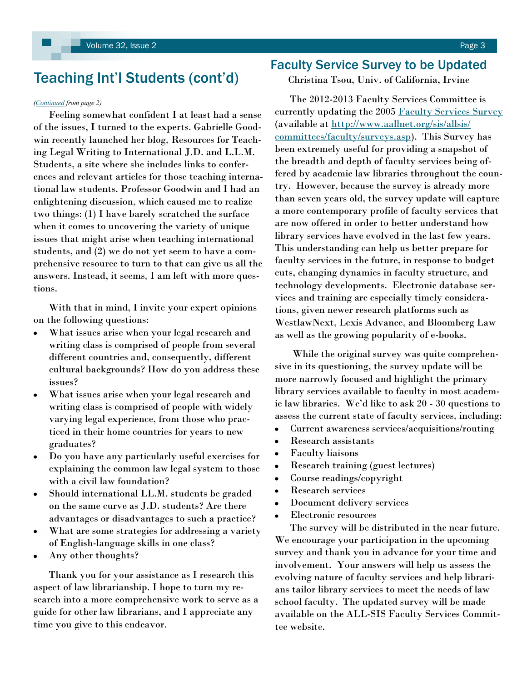## <span id="page-2-0"></span>Teaching Int'l Students (cont'd)

#### *([Continued](#page-1-0) from page 2)*

 Feeling somewhat confident I at least had a sense of the issues, I turned to the experts. Gabrielle Goodwin recently launched her blog, Resources for Teaching Legal Writing to International J.D. and L.L.M. Students, a site where she includes links to conferences and relevant articles for those teaching international law students. Professor Goodwin and I had an enlightening discussion, which caused me to realize two things: (1) I have barely scratched the surface when it comes to uncovering the variety of unique issues that might arise when teaching international students, and (2) we do not yet seem to have a comprehensive resource to turn to that can give us all the answers. Instead, it seems, I am left with more questions.

 With that in mind, I invite your expert opinions on the following questions:

- What issues arise when your legal research and writing class is comprised of people from several different countries and, consequently, different cultural backgrounds? How do you address these issues?
- What issues arise when your legal research and writing class is comprised of people with widely varying legal experience, from those who practiced in their home countries for years to new graduates?
- Do you have any particularly useful exercises for explaining the common law legal system to those with a civil law foundation?
- Should international LL.M. students be graded  $\bullet$ on the same curve as J.D. students? Are there advantages or disadvantages to such a practice?
- What are some strategies for addressing a variety of English-language skills in one class?
- Any other thoughts? ٠

 Thank you for your assistance as I research this aspect of law librarianship. I hope to turn my research into a more comprehensive work to serve as a guide for other law librarians, and I appreciate any time you give to this endeavor.

### Faculty Service Survey to be Updated

Christina Tsou, Univ. of California, Irvine

 The 2012-2013 Faculty Services Committee is currently updating the 2005 [Faculty Services Survey](http://www.aallnet.org/sis/allsis/committees/faculty/surveys.asp) (available at [http://www.aallnet.org/sis/allsis/](http://www.aallnet.org/sis/allsis/committees/faculty/surveys.asp) [committees/faculty/surveys.asp\).](http://www.aallnet.org/sis/allsis/committees/faculty/surveys.asp) This Survey has been extremely useful for providing a snapshot of the breadth and depth of faculty services being offered by academic law libraries throughout the country. However, because the survey is already more than seven years old, the survey update will capture a more contemporary profile of faculty services that are now offered in order to better understand how library services have evolved in the last few years. This understanding can help us better prepare for faculty services in the future, in response to budget cuts, changing dynamics in faculty structure, and technology developments. Electronic database services and training are especially timely considerations, given newer research platforms such as WestlawNext, Lexis Advance, and Bloomberg Law as well as the growing popularity of e-books.

 While the original survey was quite comprehensive in its questioning, the survey update will be more narrowly focused and highlight the primary library services available to faculty in most academic law libraries. We'd like to ask 20 - 30 questions to assess the current state of faculty services, including:

- Current awareness services/acquisitions/routing  $\bullet$
- Research assistants
- Faculty liaisons  $\bullet$
- Research training (guest lectures)
- Course readings/copyright
- Research services
- Document delivery services  $\bullet$
- Electronic resources

 The survey will be distributed in the near future. We encourage your participation in the upcoming survey and thank you in advance for your time and involvement. Your answers will help us assess the evolving nature of faculty services and help librarians tailor library services to meet the needs of law school faculty. The updated survey will be made available on the ALL-SIS Faculty Services Committee website.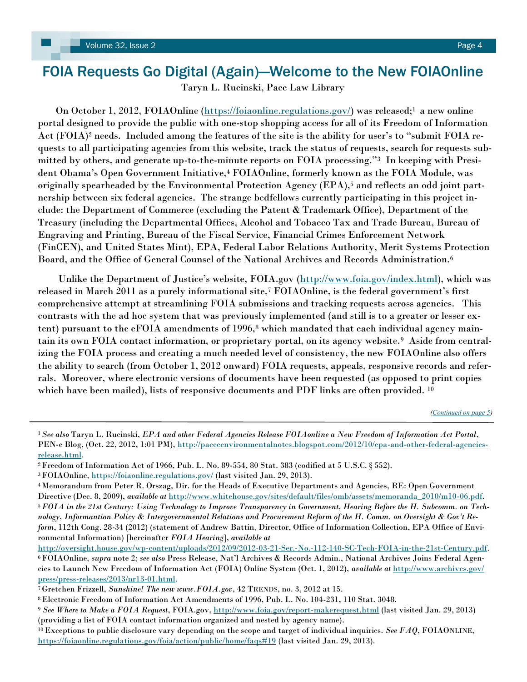## <span id="page-3-0"></span>FOIA Requests Go Digital (Again)—Welcome to the New FOIAOnline

Taryn L. Rucinski, Pace Law Library

On October 1, 2012, FOIAOnline [\(https://foiaonline.regulations.gov/\)](https://foiaonline.regulations.gov/) was released;<sup>1</sup> a new online portal designed to provide the public with one-stop shopping access for all of its Freedom of Information Act  $(FOIA)^2$  needs. Included among the features of the site is the ability for user's to "submit  $FOIA$  requests to all participating agencies from this website, track the status of requests, search for requests submitted by others, and generate up-to-the-minute reports on FOIA processing."3 In keeping with President Obama's Open Government Initiative,<sup>4</sup> FOIAOnline, formerly known as the FOIA Module, was originally spearheaded by the Environmental Protection Agency (EPA),<sup>5</sup> and reflects an odd joint partnership between six federal agencies. The strange bedfellows currently participating in this project include: the Department of Commerce (excluding the Patent & Trademark Office), Department of the Treasury (including the Departmental Offices, Alcohol and Tobacco Tax and Trade Bureau, Bureau of Engraving and Printing, Bureau of the Fiscal Service, Financial Crimes Enforcement Network (FinCEN), and United States Mint), EPA, Federal Labor Relations Authority, Merit Systems Protection Board, and the Office of General Counsel of the National Archives and Records Administration.<sup>6</sup>

Unlike the Department of Justice's website, FOIA.gov ([http://www.foia.gov/index.html\)](http://www.foia.gov/index.html), which was released in March 2011 as a purely informational site,<sup>7</sup> FOIAOnline, is the federal government's first comprehensive attempt at streamlining FOIA submissions and tracking requests across agencies. This contrasts with the ad hoc system that was previously implemented (and still is to a greater or lesser extent) pursuant to the eFOIA amendments of 1996,<sup>8</sup> which mandated that each individual agency maintain its own FOIA contact information, or proprietary portal, on its agency website.9 Aside from centralizing the FOIA process and creating a much needed level of consistency, the new FOIAOnline also offers the ability to search (from October 1, 2012 onward) FOIA requests, appeals, responsive records and referrals. Moreover, where electronic versions of documents have been requested (as opposed to print copies which have been mailed), lists of responsive documents and PDF links are often provided. <sup>10</sup>

*([Continued on page 5\)](#page-4-0)*

<sup>1</sup>*See also* Taryn L. Rucinski, *EPA and other Federal Agencies Release FOIAonline a New Freedom of Information Act Portal*, PEN-e Blog, (Oct. 22, 2012, 1:01 PM), [http://paceeenvironmentalnotes.blogspot.com/2012/10/epa-and-other-federal-agencies](http://paceeenvironmentalnotes.blogspot.com/2012/10/epa-and-other-federal-agencies-release.html)[release.html.](http://paceeenvironmentalnotes.blogspot.com/2012/10/epa-and-other-federal-agencies-release.html)

<sup>2</sup>Freedom of Information Act of 1966, Pub. L. No. 89-554, 80 Stat. 383 (codified at 5 U.S.C. § 552).

<sup>&</sup>lt;sup>3</sup> FOIAOnline,<https://foiaonline.regulations.gov/> (last visited Jan. 29, 2013).

<sup>4</sup>Memorandum from Peter R. Orszag, Dir. for the Heads of Executive Departments and Agencies, RE: Open Government Directive (Dec. 8, 2009), *available at* [http://www.whitehouse.gov/sites/default/files/omb/assets/memoranda\\_2010/m10-06.pdf.](http://www.whitehouse.gov/sites/default/files/omb/assets/memoranda_2010/m10-06.pdf) 5 *FOIA in the 21st Century: Using Technology to Improve Transparency in Government, Hearing Before the H. Subcomm. on Technology, Informantion Policy & Intergovernmental Relations and Procurement Reform of the H. Comm. on Oversight & Gov't Reform*, 112th Cong. 28-34 (2012) (statement of Andrew Battin, Director, Office of Information Collection, EPA Office of Environmental Information) [hereinafter *FOIA Hearing*], *available at* 

[http://oversight.house.gov/wp-content/uploads/2012/09/2012-03-21-Ser.-No.-112-140-SC-Tech-FOIA-in-the-21st-Century.pdf.](http://oversight.house.gov/wp-content/uploads/2012/09/2012-03-21-Ser.-No.-112-140-SC-Tech-FOIA-in-the-21st-Century.pdf) <sup>6</sup>FOIAOnline, *supra* note 2; *see also* Press Release, Nat'l Archives & Records Admin., National Archives Joins Federal Agencies to Launch New Freedom of Information Act (FOIA) Online System (Oct. 1, 2012), *available at* [http://www.archives.gov/](http://www.archives.gov/press/press-releases/2013/nr13-01.html) [press/press-releases/2013/nr13-01.html.](http://www.archives.gov/press/press-releases/2013/nr13-01.html)

<sup>7</sup>Gretchen Frizzell, *Sunshine! The new www.FOIA.gov*, 42 TRENDS, no. 3, 2012 at 15.

<sup>8</sup>Electronic Freedom of Information Act Amendments of 1996, Pub. L. No. 104-231, 110 Stat. 3048.

<sup>9</sup> *See Where to Make a FOIA Request*, FOIA.gov,<http://www.foia.gov/report-makerequest.html> (last visited Jan. 29, 2013) (providing a list of FOIA contact information organized and nested by agency name).

<sup>10</sup>Exceptions to public disclosure vary depending on the scope and target of individual inquiries. *See FAQ*, FOIAONLINE, <https://foiaonline.regulations.gov/foia/action/public/home/faqs#19> (last visited Jan. 29, 2013).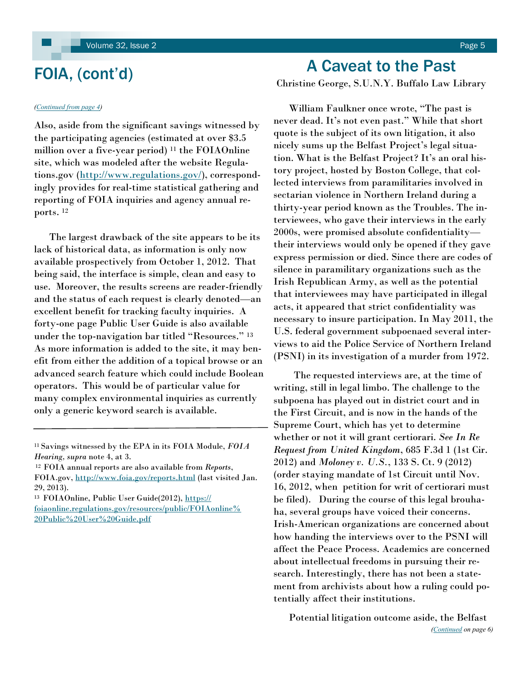## <span id="page-4-0"></span>FOIA, (cont'd)

#### *[\(Continued from page 4\)](#page-3-0)*

Also, aside from the significant savings witnessed by the participating agencies (estimated at over \$3.5 million over a five-year period) <sup>11</sup> the FOIAOnline site, which was modeled after the website Regulations.gov ([http://www.regulations.gov/\)](http://www.regulations.gov/), correspondingly provides for real-time statistical gathering and reporting of FOIA inquiries and agency annual reports. <sup>12</sup>

 The largest drawback of the site appears to be its lack of historical data, as information is only now available prospectively from October 1, 2012. That being said, the interface is simple, clean and easy to use. Moreover, the results screens are reader-friendly and the status of each request is clearly denoted—an excellent benefit for tracking faculty inquiries. A forty-one page Public User Guide is also available under the top-navigation bar titled "Resources." 13 As more information is added to the site, it may benefit from either the addition of a topical browse or an advanced search feature which could include Boolean operators. This would be of particular value for many complex environmental inquiries as currently only a generic keyword search is available.

## A Caveat to the Past

Christine George, S.U.N.Y. Buffalo Law Library

William Faulkner once wrote, "The past is never dead. It's not even past." While that short quote is the subject of its own litigation, it also nicely sums up the Belfast Project's legal situation. What is the Belfast Project? It's an oral history project, hosted by Boston College, that collected interviews from paramilitaries involved in sectarian violence in Northern Ireland during a thirty-year period known as the Troubles. The interviewees, who gave their interviews in the early 2000s, were promised absolute confidentiality their interviews would only be opened if they gave express permission or died. Since there are codes of silence in paramilitary organizations such as the Irish Republican Army, as well as the potential that interviewees may have participated in illegal acts, it appeared that strict confidentiality was necessary to insure participation. In May 2011, the U.S. federal government subpoenaed several interviews to aid the Police Service of Northern Ireland (PSNI) in its investigation of a murder from 1972.

 The requested interviews are, at the time of writing, still in legal limbo. The challenge to the subpoena has played out in district court and in the First Circuit, and is now in the hands of the Supreme Court, which has yet to determine whether or not it will grant certiorari. *See In Re Request from United Kingdom*, 685 F.3d 1 (1st Cir. 2012) and *Moloney v. U.S.*, 133 S. Ct. 9 (2012) (order staying mandate of 1st Circuit until Nov. 16, 2012, when petition for writ of certiorari must be filed). During the course of this legal brouhaha, several groups have voiced their concerns. Irish-American organizations are concerned about how handing the interviews over to the PSNI will affect the Peace Process. Academics are concerned about intellectual freedoms in pursuing their research. Interestingly, there has not been a statement from archivists about how a ruling could potentially affect their institutions.

 Potential litigation outcome aside, the Belfast *([Continued](#page-5-0) on page 6)*

<sup>11</sup>Savings witnessed by the EPA in its FOIA Module, *FOIA Hearing, supra* note 4, at 3.

<sup>12</sup>FOIA annual reports are also available from *Reports*,

FOIA.gov, <http://www.foia.gov/reports.html> (last visited Jan. 29, 2013).

<sup>&</sup>lt;sup>13</sup> FOIAOnline, Public User Guide(2012), [https://](https://foiaonline.regulations.gov/resources/public/FOIAonline%20Public%20User%20Guide.pdf) [foiaonline.regulations.gov/resources/public/FOIAonline%](https://foiaonline.regulations.gov/resources/public/FOIAonline%20Public%20User%20Guide.pdf) [20Public%20User%20Guide.pdf](https://foiaonline.regulations.gov/resources/public/FOIAonline%20Public%20User%20Guide.pdf)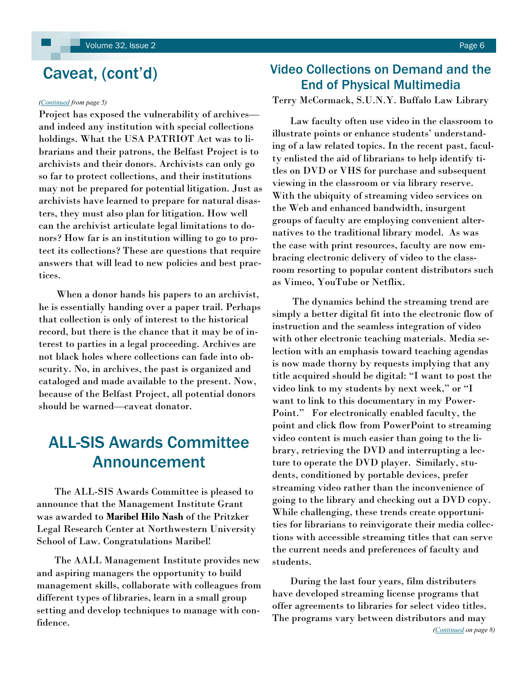## <span id="page-5-0"></span>Caveat, (cont'd)

#### *([Continued](#page-4-0) from page 5)*

Project has exposed the vulnerability of archives and indeed any institution with special collections holdings. What the USA PATRIOT Act was to librarians and their patrons, the Belfast Project is to archivists and their donors. Archivists can only go so far to protect collections, and their institutions may not be prepared for potential litigation. Just as archivists have learned to prepare for natural disasters, they must also plan for litigation. How well can the archivist articulate legal limitations to donors? How far is an institution willing to go to protect its collections? These are questions that require answers that will lead to new policies and best practices.

 When a donor hands his papers to an archivist, he is essentially handing over a paper trail. Perhaps that collection is only of interest to the historical record, but there is the chance that it may be of interest to parties in a legal proceeding. Archives are not black holes where collections can fade into obscurity. No, in archives, the past is organized and cataloged and made available to the present. Now, because of the Belfast Project, all potential donors should be warned—caveat donator.

## ALL-SIS Awards Committee Announcement

 The ALL-SIS Awards Committee is pleased to announce that the Management Institute Grant was awarded to **Maribel Hilo Nash** of the Pritzker Legal Research Center at Northwestern University School of Law. Congratulations Maribel!

 The AALL Management Institute provides new and aspiring managers the opportunity to build management skills, collaborate with colleagues from different types of libraries, learn in a small group setting and develop techniques to manage with confidence.

## Video Collections on Demand and the End of Physical Multimedia

Terry McCormack, S.U.N.Y. Buffalo Law Library

 Law faculty often use video in the classroom to illustrate points or enhance students' understanding of a law related topics. In the recent past, faculty enlisted the aid of librarians to help identify titles on DVD or VHS for purchase and subsequent viewing in the classroom or via library reserve. With the ubiquity of streaming video services on the Web and enhanced bandwidth, insurgent groups of faculty are employing convenient alternatives to the traditional library model. As was the case with print resources, faculty are now embracing electronic delivery of video to the classroom resorting to popular content distributors such as Vimeo, YouTube or Netflix.

 The dynamics behind the streaming trend are simply a better digital fit into the electronic flow of instruction and the seamless integration of video with other electronic teaching materials. Media selection with an emphasis toward teaching agendas is now made thorny by requests implying that any title acquired should be digital: ―I want to post the video link to my students by next week," or "I want to link to this documentary in my Power-Point." For electronically enabled faculty, the point and click flow from PowerPoint to streaming video content is much easier than going to the library, retrieving the DVD and interrupting a lecture to operate the DVD player. Similarly, students, conditioned by portable devices, prefer streaming video rather than the inconvenience of going to the library and checking out a DVD copy. While challenging, these trends create opportunities for librarians to reinvigorate their media collections with accessible streaming titles that can serve the current needs and preferences of faculty and students.

 During the last four years, film distributers have developed streaming license programs that offer agreements to libraries for select video titles. The programs vary between distributors and may *([Continued](#page-7-0) on page 8)*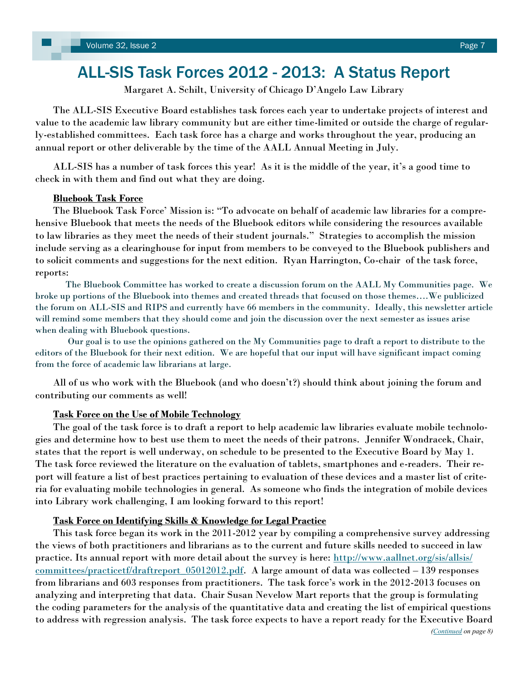## <span id="page-6-0"></span>ALL-SIS Task Forces 2012 - 2013: A Status Report

Margaret A. Schilt, University of Chicago D'Angelo Law Library

 The ALL-SIS Executive Board establishes task forces each year to undertake projects of interest and value to the academic law library community but are either time-limited or outside the charge of regularly-established committees. Each task force has a charge and works throughout the year, producing an annual report or other deliverable by the time of the AALL Annual Meeting in July.

 ALL-SIS has a number of task forces this year! As it is the middle of the year, it's a good time to check in with them and find out what they are doing.

#### **Bluebook Task Force**

The Bluebook Task Force' Mission is: "To advocate on behalf of academic law libraries for a comprehensive Bluebook that meets the needs of the Bluebook editors while considering the resources available to law libraries as they meet the needs of their student journals." Strategies to accomplish the mission include serving as a clearinghouse for input from members to be conveyed to the Bluebook publishers and to solicit comments and suggestions for the next edition. Ryan Harrington, Co-chair of the task force, reports:

 The Bluebook Committee has worked to create a discussion forum on the AALL My Communities page. We broke up portions of the Bluebook into themes and created threads that focused on those themes….We publicized the forum on ALL-SIS and RIPS and currently have 66 members in the community. Ideally, this newsletter article will remind some members that they should come and join the discussion over the next semester as issues arise when dealing with Bluebook questions.

 Our goal is to use the opinions gathered on the My Communities page to draft a report to distribute to the editors of the Bluebook for their next edition. We are hopeful that our input will have significant impact coming from the force of academic law librarians at large.

 All of us who work with the Bluebook (and who doesn't?) should think about joining the forum and contributing our comments as well!

#### **Task Force on the Use of Mobile Technology**

 The goal of the task force is to draft a report to help academic law libraries evaluate mobile technologies and determine how to best use them to meet the needs of their patrons. Jennifer Wondracek, Chair, states that the report is well underway, on schedule to be presented to the Executive Board by May 1. The task force reviewed the literature on the evaluation of tablets, smartphones and e-readers. Their report will feature a list of best practices pertaining to evaluation of these devices and a master list of criteria for evaluating mobile technologies in general. As someone who finds the integration of mobile devices into Library work challenging, I am looking forward to this report!

### **Task Force on Identifying Skills & Knowledge for Legal Practice**

 This task force began its work in the 2011-2012 year by compiling a comprehensive survey addressing the views of both practitioners and librarians as to the current and future skills needed to succeed in law practice. Its annual report with more detail about the survey is here: [http://www.aallnet.org/sis/allsis/](http://www.aallnet.org/sis/allsis/committees/practicetf/draftreport_05012012.pdf) <u>committees/practicetf/draftreport\_05012012.pdf</u>. A large amount of data was collected – 139 responses from librarians and 603 responses from practitioners. The task force's work in the 2012-2013 focuses on analyzing and interpreting that data. Chair Susan Nevelow Mart reports that the group is formulating the coding parameters for the analysis of the quantitative data and creating the list of empirical questions to address with regression analysis. The task force expects to have a report ready for the Executive Board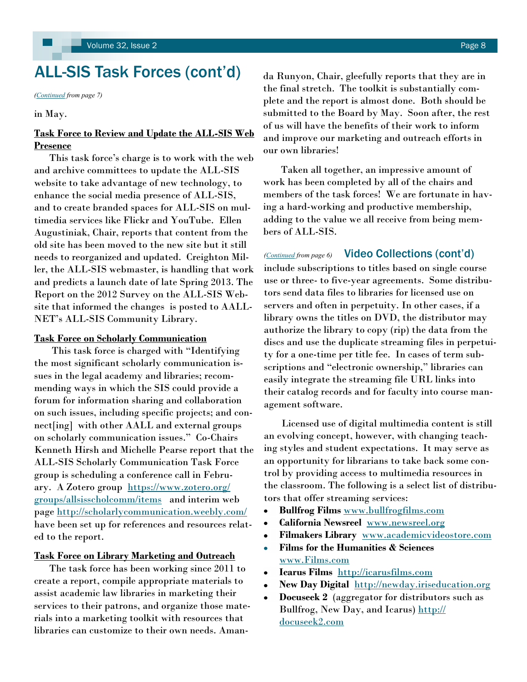## <span id="page-7-0"></span>ALL-SIS Task Forces (cont'd)

*[\(Continued](#page-6-0) from page 7)*

in May.

### **Task Force to Review and Update the ALL-SIS Web Presence**

 This task force's charge is to work with the web and archive committees to update the ALL-SIS website to take advantage of new technology, to enhance the social media presence of ALL-SIS, and to create branded spaces for ALL-SIS on multimedia services like Flickr and YouTube. Ellen Augustiniak, Chair, reports that content from the old site has been moved to the new site but it still needs to reorganized and updated. Creighton Miller, the ALL-SIS webmaster, is handling that work and predicts a launch date of late Spring 2013. The Report on the 2012 Survey on the ALL-SIS Website that informed the changes is posted to AALL-NET's ALL-SIS Community Library.

#### **Task Force on Scholarly Communication**

This task force is charged with "Identifying the most significant scholarly communication issues in the legal academy and libraries; recommending ways in which the SIS could provide a forum for information sharing and collaboration on such issues, including specific projects; and connect[ing] with other AALL and external groups on scholarly communication issues." Co-Chairs Kenneth Hirsh and Michelle Pearse report that the ALL-SIS Scholarly Communication Task Force group is scheduling a conference call in February. A Zotero group [https://www.zotero.org/](https://www.zotero.org/groups/allsisscholcomm/items) [groups/allsisscholcomm/items](https://www.zotero.org/groups/allsisscholcomm/items) and interim web page <http://scholarlycommunication.weebly.com/> have been set up for references and resources related to the report.

### **Task Force on Library Marketing and Outreach**

 The task force has been working since 2011 to create a report, compile appropriate materials to assist academic law libraries in marketing their services to their patrons, and organize those materials into a marketing toolkit with resources that libraries can customize to their own needs. Amanda Runyon, Chair, gleefully reports that they are in the final stretch. The toolkit is substantially complete and the report is almost done. Both should be submitted to the Board by May. Soon after, the rest of us will have the benefits of their work to inform and improve our marketing and outreach efforts in our own libraries!

 Taken all together, an impressive amount of work has been completed by all of the chairs and members of the task forces! We are fortunate in having a hard-working and productive membership, adding to the value we all receive from being members of ALL-SIS.

### *[\(Continued](#page-5-0) from page 6)* Video Collections (cont'd)

include subscriptions to titles based on single course use or three- to five-year agreements. Some distributors send data files to libraries for licensed use on servers and often in perpetuity. In other cases, if a library owns the titles on DVD, the distributor may authorize the library to copy (rip) the data from the discs and use the duplicate streaming files in perpetuity for a one-time per title fee. In cases of term subscriptions and "electronic ownership," libraries can easily integrate the streaming file URL links into their catalog records and for faculty into course management software.

 Licensed use of digital multimedia content is still an evolving concept, however, with changing teaching styles and student expectations. It may serve as an opportunity for librarians to take back some control by providing access to multimedia resources in the classroom. The following is a select list of distributors that offer streaming services:

- **Bullfrog Films** [www.bullfrogfilms.com](http://www.bullfrogfilms.com)
- **California Newsreel** [www.newsreel.org](http://www.newsreel.org)  $\bullet$
- **Filmakers Library** [www.academicvideostore.com](http://www.academicvideostore.com)  $\bullet$
- **Films for the Humanities & Sciences** [www.Films.com](http://www.Films.com)
- **Icarus Films** <http://icarusfilms.com>
- **New Day Digital** <http://newday.iriseducation.org>
- **Docuseek 2** (aggregator for distributors such as Bullfrog, New Day, and Icarus) [http://](http://docuseek2.com) [docuseek2.com](http://docuseek2.com)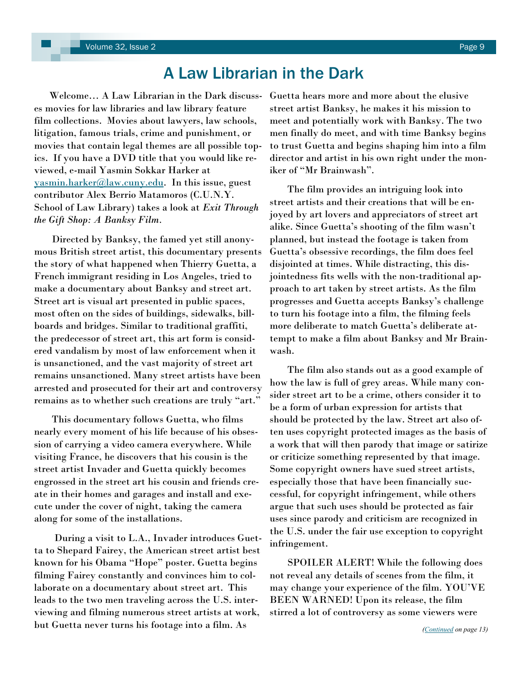## A Law Librarian in the Dark

<span id="page-8-0"></span> Welcome… A Law Librarian in the Dark discusses movies for law libraries and law library feature film collections. Movies about lawyers, law schools, litigation, famous trials, crime and punishment, or movies that contain legal themes are all possible topics. If you have a DVD title that you would like reviewed, e-mail Yasmin Sokkar Harker at [yasmin.harker@law.cuny.edu.](mailto:yasmin.harker@law.cuny.edu) In this issue, guest contributor Alex Berrio Matamoros (C.U.N.Y. School of Law Library) takes a look at *Exit Through the Gift Shop: A Banksy Film.*

Directed by Banksy, the famed yet still anonymous British street artist, this documentary presents the story of what happened when Thierry Guetta, a French immigrant residing in Los Angeles, tried to make a documentary about Banksy and street art. Street art is visual art presented in public spaces, most often on the sides of buildings, sidewalks, billboards and bridges. Similar to traditional graffiti, the predecessor of street art, this art form is considered vandalism by most of law enforcement when it is unsanctioned, and the vast majority of street art remains unsanctioned. Many street artists have been arrested and prosecuted for their art and controversy remains as to whether such creations are truly "art."

 This documentary follows Guetta, who films nearly every moment of his life because of his obsession of carrying a video camera everywhere. While visiting France, he discovers that his cousin is the street artist Invader and Guetta quickly becomes engrossed in the street art his cousin and friends create in their homes and garages and install and execute under the cover of night, taking the camera along for some of the installations.

 During a visit to L.A., Invader introduces Guetta to Shepard Fairey, the American street artist best known for his Obama "Hope" poster. Guetta begins filming Fairey constantly and convinces him to collaborate on a documentary about street art. This leads to the two men traveling across the U.S. interviewing and filming numerous street artists at work, but Guetta never turns his footage into a film. As

Guetta hears more and more about the elusive street artist Banksy, he makes it his mission to meet and potentially work with Banksy. The two men finally do meet, and with time Banksy begins to trust Guetta and begins shaping him into a film director and artist in his own right under the moniker of "Mr Brainwash".

 The film provides an intriguing look into street artists and their creations that will be enjoyed by art lovers and appreciators of street art alike. Since Guetta's shooting of the film wasn't planned, but instead the footage is taken from Guetta's obsessive recordings, the film does feel disjointed at times. While distracting, this disjointedness fits wells with the non-traditional approach to art taken by street artists. As the film progresses and Guetta accepts Banksy's challenge to turn his footage into a film, the filming feels more deliberate to match Guetta's deliberate attempt to make a film about Banksy and Mr Brainwash.

 The film also stands out as a good example of how the law is full of grey areas. While many consider street art to be a crime, others consider it to be a form of urban expression for artists that should be protected by the law. Street art also often uses copyright protected images as the basis of a work that will then parody that image or satirize or criticize something represented by that image. Some copyright owners have sued street artists, especially those that have been financially successful, for copyright infringement, while others argue that such uses should be protected as fair uses since parody and criticism are recognized in the U.S. under the fair use exception to copyright infringement.

 SPOILER ALERT! While the following does not reveal any details of scenes from the film, it may change your experience of the film. YOU'VE BEEN WARNED! Upon its release, the film stirred a lot of controversy as some viewers were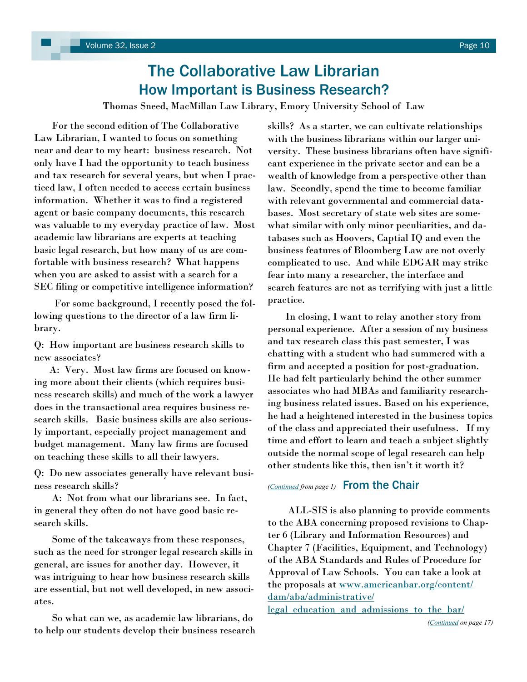## The Collaborative Law Librarian How Important is Business Research?

Thomas Sneed, MacMillan Law Library, Emory University School of Law

<span id="page-9-0"></span> For the second edition of The Collaborative Law Librarian, I wanted to focus on something near and dear to my heart: business research. Not only have I had the opportunity to teach business and tax research for several years, but when I practiced law, I often needed to access certain business information. Whether it was to find a registered agent or basic company documents, this research was valuable to my everyday practice of law. Most academic law librarians are experts at teaching basic legal research, but how many of us are comfortable with business research? What happens when you are asked to assist with a search for a SEC filing or competitive intelligence information?

 For some background, I recently posed the following questions to the director of a law firm library.

Q: How important are business research skills to new associates?

 A: Very. Most law firms are focused on knowing more about their clients (which requires business research skills) and much of the work a lawyer does in the transactional area requires business research skills. Basic business skills are also seriously important, especially project management and budget management. Many law firms are focused on teaching these skills to all their lawyers.

Q: Do new associates generally have relevant business research skills?

 A: Not from what our librarians see. In fact, in general they often do not have good basic research skills.

 Some of the takeaways from these responses, such as the need for stronger legal research skills in general, are issues for another day. However, it was intriguing to hear how business research skills are essential, but not well developed, in new associates.

 So what can we, as academic law librarians, do to help our students develop their business research skills? As a starter, we can cultivate relationships with the business librarians within our larger university. These business librarians often have significant experience in the private sector and can be a wealth of knowledge from a perspective other than law. Secondly, spend the time to become familiar with relevant governmental and commercial databases. Most secretary of state web sites are somewhat similar with only minor peculiarities, and databases such as Hoovers, Captial IQ and even the business features of Bloomberg Law are not overly complicated to use. And while EDGAR may strike fear into many a researcher, the interface and search features are not as terrifying with just a little practice.

 In closing, I want to relay another story from personal experience. After a session of my business and tax research class this past semester, I was chatting with a student who had summered with a firm and accepted a position for post-graduation. He had felt particularly behind the other summer associates who had MBAs and familiarity researching business related issues. Based on his experience, he had a heightened interested in the business topics of the class and appreciated their usefulness. If my time and effort to learn and teach a subject slightly outside the normal scope of legal research can help other students like this, then isn't it worth it?

### *([Continued](#page-0-0) from page 1)* From the Chair

 ALL-SIS is also planning to provide comments to the ABA concerning proposed revisions to Chapter 6 (Library and Information Resources) and Chapter 7 (Facilities, Equipment, and Technology) of the ABA Standards and Rules of Procedure for Approval of Law Schools. You can take a look at the proposals at [www.americanbar.org/content/](http://www.americanbar.org/content/dam/aba/administrative/legal_education_and_admissions_to_the_bar/council_reports_and_resolutions/20130222_notice_and_comment_standards_chs_6_7.authcheckdam.pdf) [dam/aba/administrative/](http://www.americanbar.org/content/dam/aba/administrative/legal_education_and_admissions_to_the_bar/council_reports_and_resolutions/20130222_notice_and_comment_standards_chs_6_7.authcheckdam.pdf)

legal education and admissions to the bar/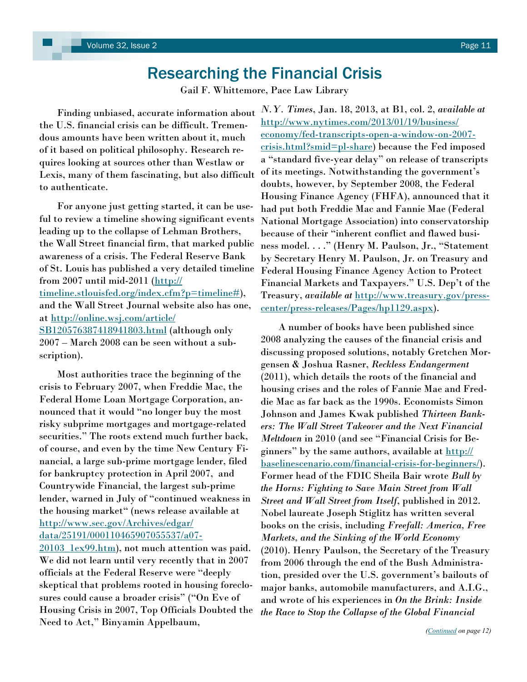## Researching the Financial Crisis

Gail F. Whittemore, Pace Law Library

<span id="page-10-0"></span> Finding unbiased, accurate information about the U.S. financial crisis can be difficult. Tremendous amounts have been written about it, much of it based on political philosophy. Research requires looking at sources other than Westlaw or Lexis, many of them fascinating, but also difficult to authenticate.

 For anyone just getting started, it can be useful to review a timeline showing significant events leading up to the collapse of Lehman Brothers, the Wall Street financial firm, that marked public awareness of a crisis. The Federal Reserve Bank of St. Louis has published a very detailed timeline from 2007 until mid-2011 ([http://](http://timeline.stlouisfed.org/index.cfm?p=timeline) [timeline.stlouisfed.org/index.cfm?p=timeline#\),](http://timeline.stlouisfed.org/index.cfm?p=timeline) and the Wall Street Journal website also has one, at [http://online.wsj.com/article/](http://online.wsj.com/article/SB120576387418941803.html) [SB120576387418941803.html](http://online.wsj.com/article/SB120576387418941803.html) (although only 2007 – March 2008 can be seen without a subscription).

 Most authorities trace the beginning of the crisis to February 2007, when Freddie Mac, the Federal Home Loan Mortgage Corporation, announced that it would "no longer buy the most risky subprime mortgages and mortgage-related securities." The roots extend much further back, of course, and even by the time New Century Financial, a large sub-prime mortgage lender, filed for bankruptcy protection in April 2007, and Countrywide Financial, the largest sub-prime lender, warned in July of "continued weakness in the housing market" (news release available at [http://www.sec.gov/Archives/edgar/](http://www.sec.gov/Archives/edgar/data/25191/000110465907055537/a07-20103_1ex99.htm) [data/25191/000110465907055537/a07-](http://www.sec.gov/Archives/edgar/data/25191/000110465907055537/a07-20103_1ex99.htm)

20103 lex99.htm), not much attention was paid. We did not learn until very recently that in 2007 officials at the Federal Reserve were "deeply skeptical that problems rooted in housing foreclosures could cause a broader crisis" ("On Eve of Housing Crisis in 2007, Top Officials Doubted the Need to Act," Binyamin Appelbaum,

*N.Y. Times*, Jan. 18, 2013, at B1, col. 2, *available at* [http://www.nytimes.com/2013/01/19/business/](http://www.nytimes.com/2013/01/19/business/economy/fed-transcripts-open-a-window-on-2007-crisis.html?smid=pl-share) [economy/fed-transcripts-open-a-window-on-2007](http://www.nytimes.com/2013/01/19/business/economy/fed-transcripts-open-a-window-on-2007-crisis.html?smid=pl-share) [crisis.html?smid=pl-share\)](http://www.nytimes.com/2013/01/19/business/economy/fed-transcripts-open-a-window-on-2007-crisis.html?smid=pl-share) because the Fed imposed a "standard five-year delay" on release of transcripts of its meetings. Notwithstanding the government's doubts, however, by September 2008, the Federal Housing Finance Agency (FHFA), announced that it had put both Freddie Mac and Fannie Mae (Federal National Mortgage Association) into conservatorship because of their "inherent conflict and flawed business model. . . ." (Henry M. Paulson, Jr., "Statement by Secretary Henry M. Paulson, Jr. on Treasury and Federal Housing Finance Agency Action to Protect Financial Markets and Taxpayers." U.S. Dep't of the Treasury, *available at* [http://www.treasury.gov/press](http://www.treasury.gov/press-center/press-releases/Pages/hp1129.aspx)[center/press-releases/Pages/hp1129.aspx\)](http://www.treasury.gov/press-center/press-releases/Pages/hp1129.aspx).

 A number of books have been published since 2008 analyzing the causes of the financial crisis and discussing proposed solutions, notably Gretchen Morgensen & Joshua Rasner, *Reckless Endangerment*  (2011), which details the roots of the financial and housing crises and the roles of Fannie Mae and Freddie Mac as far back as the 1990s. Economists Simon Johnson and James Kwak published *Thirteen Bankers: The Wall Street Takeover and the Next Financial Meltdown* in 2010 (and see "Financial Crisis for Beginners" by the same authors, available at [http://](http://baselinescenario.com/financial-crisis-for-beginners/) [baselinescenario.com/financial-crisis-for-beginners/\)](http://baselinescenario.com/financial-crisis-for-beginners/). Former head of the FDIC Sheila Bair wrote *Bull by the Horns: Fighting to Save Main Street from Wall Street and Wall Street from Itself*, published in 2012. Nobel laureate Joseph Stiglitz has written several books on the crisis, including *Freefall: America, Free Markets, and the Sinking of the World Economy*  (2010). Henry Paulson, the Secretary of the Treasury from 2006 through the end of the Bush Administration, presided over the U.S. government's bailouts of major banks, automobile manufacturers, and A.I.G., and wrote of his experiences in *On the Brink: Inside the Race to Stop the Collapse of the Global Financial*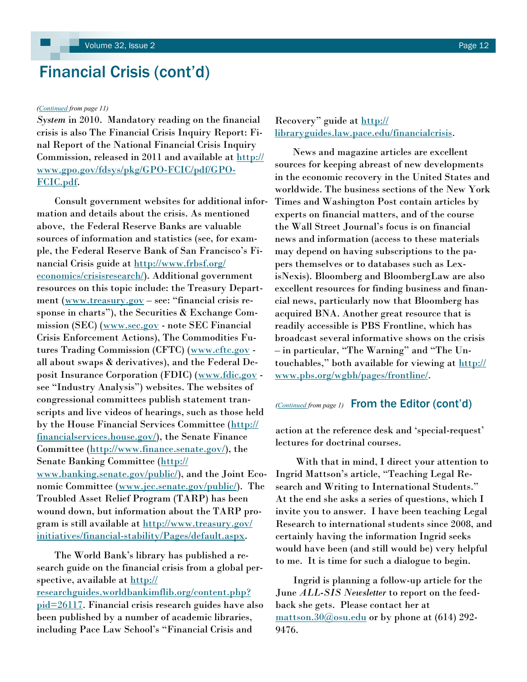## <span id="page-11-0"></span>Financial Crisis (cont'd)

#### *[\(Continued](#page-10-0) from page 11)*

*System* in 2010. Mandatory reading on the financial crisis is also The Financial Crisis Inquiry Report: Final Report of the National Financial Crisis Inquiry Commission, released in 2011 and available at [http://](http://www.gpo.gov/fdsys/pkg/GPO-FCIC/pdf/GPO-FCIC.pdf) [www.gpo.gov/fdsys/pkg/GPO-FCIC/pdf/GPO-](http://www.gpo.gov/fdsys/pkg/GPO-FCIC/pdf/GPO-FCIC.pdf)[FCIC.pdf.](http://www.gpo.gov/fdsys/pkg/GPO-FCIC/pdf/GPO-FCIC.pdf)

 Consult government websites for additional information and details about the crisis. As mentioned above, the Federal Reserve Banks are valuable sources of information and statistics (see, for example, the Federal Reserve Bank of San Francisco's Financial Crisis guide at [http://www.frbsf.org/](http://www.frbsf.org/economics/crisisresearch/) [economics/crisisresearch/\).](http://www.frbsf.org/economics/crisisresearch/) Additional government resources on this topic include: the Treasury Depart-ment [\(www.treasury.gov](http://www.treasury.gov) – see: "financial crisis response in charts"), the Securities  $&$  Exchange Commission (SEC) ([www.sec.gov](http://www.sec.gov) - note SEC Financial Crisis Enforcement Actions), The Commodities Fu-tures Trading Commission (CFTC) [\(www.cftc.gov](http://www.cftc.gov) all about swaps & derivatives), and the Federal Deposit Insurance Corporation (FDIC) ([www.fdic.gov](http://www.fdic.gov) see "Industry Analysis") websites. The websites of congressional committees publish statement transcripts and live videos of hearings, such as those held by the House Financial Services Committee [\(http://](http://financialservices.house.gov/) [financialservices.house.gov/\)](http://financialservices.house.gov/), the Senate Finance Committee ([http://www.finance.senate.gov/\)](http://www.finance.senate.gov/), the Senate Banking Committee ([http://](http://www.banking.senate.gov/public/) [www.banking.senate.gov/public/\)](http://www.banking.senate.gov/public/), and the Joint Economic Committee ([www.jec.senate.gov/public/\).](http://www.jec.senate.gov/public/) The Troubled Asset Relief Program (TARP) has been wound down, but information about the TARP program is still available at [http://www.treasury.gov/](http://www.treasury.gov/initiatives/financial-stability/Pages/default.aspx) [initiatives/financial-stability/Pages/default.aspx.](http://www.treasury.gov/initiatives/financial-stability/Pages/default.aspx)

 The World Bank's library has published a research guide on the financial crisis from a global perspective, available at [http://](http://researchguides.worldbankimflib.org/content.php?pid=26117) [researchguides.worldbankimflib.org/content.php?](http://researchguides.worldbankimflib.org/content.php?pid=26117) [pid=26117.](http://researchguides.worldbankimflib.org/content.php?pid=26117) Financial crisis research guides have also been published by a number of academic libraries, including Pace Law School's "Financial Crisis and

### Recovery" guide at [http://](http://libraryguides.law.pace.edu/financialcrisis) [libraryguides.law.pace.edu/financialcrisis.](http://libraryguides.law.pace.edu/financialcrisis)

 News and magazine articles are excellent sources for keeping abreast of new developments in the economic recovery in the United States and worldwide. The business sections of the New York Times and Washington Post contain articles by experts on financial matters, and of the course the Wall Street Journal's focus is on financial news and information (access to these materials may depend on having subscriptions to the papers themselves or to databases such as LexisNexis). Bloomberg and BloombergLaw are also excellent resources for finding business and financial news, particularly now that Bloomberg has acquired BNA. Another great resource that is readily accessible is PBS Frontline, which has broadcast several informative shows on the crisis – in particular, "The Warning" and "The Untouchables," both available for viewing at [http://](http://www.pbs.org/wgbh/pages/frontline/) [www.pbs.org/wgbh/pages/frontline/.](http://www.pbs.org/wgbh/pages/frontline/)

### *([Continued](#page-0-0) from page 1)* From the Editor (cont'd)

action at the reference desk and 'special-request' lectures for doctrinal courses.

 With that in mind, I direct your attention to Ingrid Mattson's article, "Teaching Legal Research and Writing to International Students." At the end she asks a series of questions, which I invite you to answer. I have been teaching Legal Research to international students since 2008, and certainly having the information Ingrid seeks would have been (and still would be) very helpful to me. It is time for such a dialogue to begin.

 Ingrid is planning a follow-up article for the June *ALL-SIS Newsletter* to report on the feedback she gets. Please contact her at  $mattson.30@$ osu.edu or by phone at (614) 292-9476.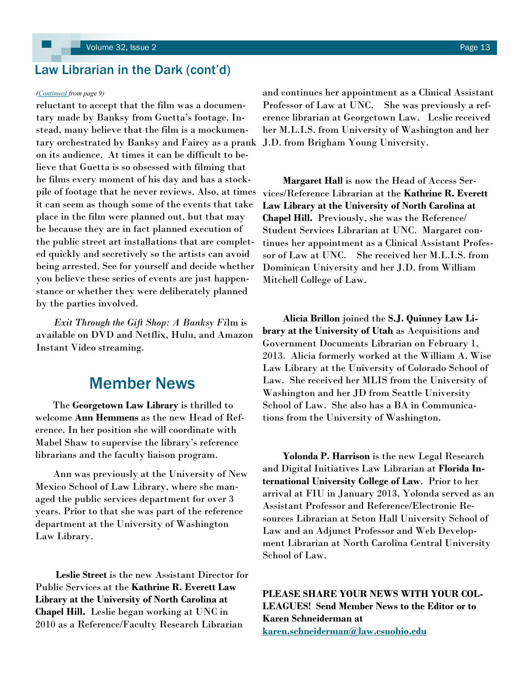## <span id="page-12-0"></span>Law Librarian in the Dark (cont'd)

#### *([Continued](#page-8-0) from page 9)*

reluctant to accept that the film was a documentary made by Banksy from Guetta's footage. Instead, many believe that the film is a mockumentary orchestrated by Banksy and Fairey as a prank J.D. from Brigham Young University. on its audience. At times it can be difficult to believe that Guetta is so obsessed with filming that he films every moment of his day and has a stockpile of footage that he never reviews. Also, at times it can seem as though some of the events that take place in the film were planned out, but that may be because they are in fact planned execution of the public street art installations that are completed quickly and secretively so the artists can avoid being arrested. See for yourself and decide whether you believe these series of events are just happenstance or whether they were deliberately planned by the parties involved.

 *Exit Through the Gift Shop: A Banksy Fi*lm is available on DVD and Netflix, Hulu, and Amazon Instant Video streaming.

## Member News

 The **Georgetown Law Library** is thrilled to welcome **Ann Hemmens** as the new Head of Reference. In her position she will coordinate with Mabel Shaw to supervise the library's reference librarians and the faculty liaison program.

 Ann was previously at the University of New Mexico School of Law Library, where she managed the public services department for over 3 years. Prior to that she was part of the reference department at the University of Washington Law Library.

 **Leslie Street** is the new Assistant Director for Public Services at the **Kathrine R. Everett Law Library at the University of North Carolina at Chapel Hill.** Leslie began working at UNC in 2010 as a Reference/Faculty Research Librarian

and continues her appointment as a Clinical Assistant Professor of Law at UNC. She was previously a reference librarian at Georgetown Law. Leslie received her M.L.I.S. from University of Washington and her

 **Margaret Hall** is now the Head of Access Services/Reference Librarian at the **Kathrine R. Everett Law Library at the University of North Carolina at Chapel Hill.** Previously, she was the Reference/ Student Services Librarian at UNC. Margaret continues her appointment as a Clinical Assistant Professor of Law at UNC. She received her M.L.I.S. from Dominican University and her J.D. from William Mitchell College of Law.

 **Alicia Brillon** joined the **S.J. Quinney Law Library at the University of Utah** as Acquisitions and Government Documents Librarian on February 1, 2013. Alicia formerly worked at the William A. Wise Law Library at the University of Colorado School of Law. She received her MLIS from the University of Washington and her JD from Seattle University School of Law. She also has a BA in Communications from the University of Washington.

 **Yolonda P. Harrison** is the new Legal Research and Digital Initiatives Law Librarian at **Florida International University College of Law**. Prior to her arrival at FIU in January 2013, Yolonda served as an Assistant Professor and Reference/Electronic Resources Librarian at Seton Hall University School of Law and an Adjunct Professor and Web Development Librarian at North Carolina Central University School of Law.

**PLEASE SHARE YOUR NEWS WITH YOUR COL-LEAGUES! Send Member News to the Editor or to Karen Schneiderman at [karen.schneiderman@law.csuohio.edu](mailto:karen.schneiderman@law.csuohio.edu)**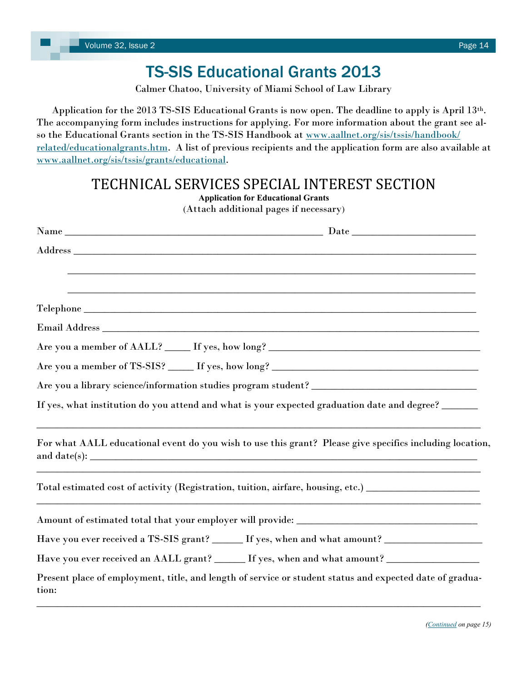## TS-SIS Educational Grants 2013

Calmer Chatoo, University of Miami School of Law Library

<span id="page-13-0"></span> Application for the 2013 TS-SIS Educational Grants is now open. The deadline to apply is April 13th. The accompanying form includes instructions for applying. For more information about the grant see also the Educational Grants section in the TS-SIS Handbook at [www.aallnet.org/sis/tssis/handbook/](http://www.aallnet.org/sis/tssis/handbook/related/educationalgrants.htm) [related/educationalgrants.htm.](http://www.aallnet.org/sis/tssis/handbook/related/educationalgrants.htm) A list of previous recipients and the application form are also available at [www.aallnet.org/sis/tssis/grants/educational.](http://www.aallnet.org/sis/tssis/grants/educational) 

## TECHNICAL SERVICES SPECIAL INTEREST SECTION

**Application for Educational Grants** (Attach additional pages if necessary) Name \_\_\_\_\_\_\_\_\_\_\_\_\_\_\_\_\_\_\_\_\_\_\_\_\_\_\_\_\_\_\_\_\_\_\_\_\_\_\_\_\_\_\_\_\_\_\_\_\_\_ Date \_\_\_\_\_\_\_\_\_\_\_\_\_\_\_\_\_\_\_\_\_\_\_\_  $\rm{Address}$   $\rm{~$ \_\_\_\_\_\_\_\_\_\_\_\_\_\_\_\_\_\_\_\_\_\_\_\_\_\_\_\_\_\_\_\_\_\_\_\_\_\_\_\_\_\_\_\_\_\_\_\_\_\_\_\_\_\_\_\_\_\_\_\_\_\_\_\_\_\_\_\_\_\_\_\_\_\_\_\_\_\_\_ \_\_\_\_\_\_\_\_\_\_\_\_\_\_\_\_\_\_\_\_\_\_\_\_\_\_\_\_\_\_\_\_\_\_\_\_\_\_\_\_\_\_\_\_\_\_\_\_\_\_\_\_\_\_\_\_\_\_\_\_\_\_\_\_\_\_\_\_\_\_\_\_\_\_\_\_\_\_\_  $\bf{Telephone}$ Email Address \_\_\_\_\_\_\_\_\_\_\_\_\_\_\_\_\_\_\_\_\_\_\_\_\_\_\_\_\_\_\_\_\_\_\_\_\_\_\_\_\_\_\_\_\_\_\_\_\_\_\_\_\_\_\_\_\_\_\_\_\_\_\_\_\_\_\_\_\_\_\_\_\_ Are you a member of AALL? \_\_\_\_\_\_ If yes, how long? \_\_\_\_\_\_\_\_\_\_\_\_\_\_\_\_\_\_\_\_\_\_\_\_\_\_\_\_\_\_ Are you a member of TS-SIS? \_\_\_\_\_\_ If yes, how long? \_\_\_\_\_\_\_\_\_\_\_\_\_\_\_\_\_\_\_\_\_\_\_\_\_\_\_\_ Are you a library science/information studies program student? \_\_\_\_\_\_\_\_\_\_\_\_\_\_\_\_\_\_\_\_\_\_\_\_\_\_\_\_\_\_\_\_ If yes, what institution do you attend and what is your expected graduation date and degree? \_\_\_\_\_\_  $\_$  , and the set of the set of the set of the set of the set of the set of the set of the set of the set of the set of the set of the set of the set of the set of the set of the set of the set of the set of the set of th For what AALL educational event do you wish to use this grant? Please give specifics including location, and date(s): \_\_\_\_\_\_\_\_\_\_\_\_\_\_\_\_\_\_\_\_\_\_\_\_\_\_\_\_\_\_\_\_\_\_\_\_\_\_\_\_\_\_\_\_\_\_\_\_\_\_\_\_\_\_\_\_\_\_\_\_\_\_\_\_\_\_\_\_\_\_\_\_\_\_\_\_\_\_\_\_\_\_\_\_\_\_ Total estimated cost of activity (Registration, tuition, airfare, housing, etc.) \_\_\_\_\_\_\_\_\_\_\_\_\_\_\_\_\_\_\_\_\_\_\_\_\_\_\_\_\_ \_\_\_\_\_\_\_\_\_\_\_\_\_\_\_\_\_\_\_\_\_\_\_\_\_\_\_\_\_\_\_\_\_\_\_\_\_\_\_\_\_\_\_\_\_\_\_\_\_\_\_\_\_\_\_\_\_\_\_\_\_\_\_\_\_\_\_\_\_\_\_\_\_\_\_\_\_\_\_\_\_\_\_\_\_\_ Amount of estimated total that your employer will provide: \_\_\_\_\_\_\_\_\_\_\_\_\_\_\_\_\_\_\_\_\_\_\_\_\_\_\_\_\_\_\_\_\_\_\_ Have you ever received a TS-SIS grant? \_\_\_\_\_\_ If yes, when and what amount? \_\_\_\_\_\_\_\_\_\_\_\_\_\_\_\_\_\_\_\_\_\_\_\_\_\_\_\_\_\_\_\_\_\_ Have you ever received an AALL grant? \_\_\_\_\_\_ If yes, when and what amount? \_\_\_\_\_\_\_\_\_\_\_\_\_\_\_\_\_\_\_\_\_\_\_\_\_\_\_\_\_\_\_\_\_\_\_ Present place of employment, title, and length of service or student status and expected date of graduation:

 $\_$  , and the set of the set of the set of the set of the set of the set of the set of the set of the set of the set of the set of the set of the set of the set of the set of the set of the set of the set of the set of th

*[\(Continued](#page-14-0) on page 15)*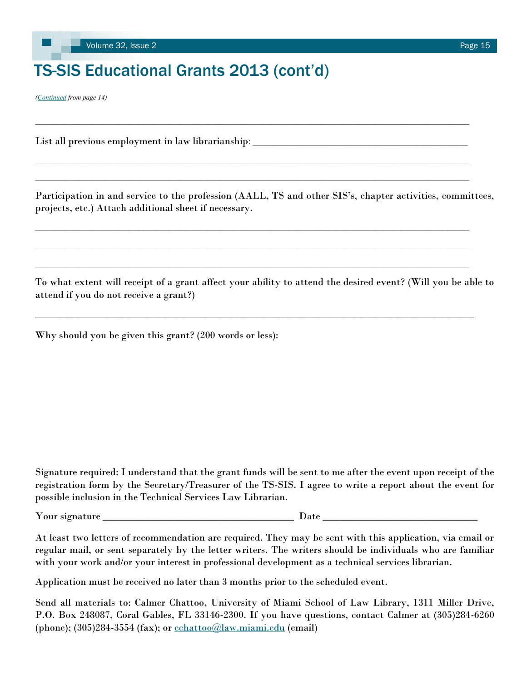## <span id="page-14-0"></span>TS-SIS Educational Grants 2013 (cont'd)

*([Continued](#page-13-0) from page 14)*

List all previous employment in law librarianship: \_\_\_\_\_\_\_\_\_\_\_\_\_\_\_\_\_\_\_\_\_\_\_\_\_\_\_\_\_

Participation in and service to the profession (AALL, TS and other SIS's, chapter activities, committees, projects, etc.) Attach additional sheet if necessary.

 $\_$  , and the state of the state of the state of the state of the state of the state of the state of the state of the state of the state of the state of the state of the state of the state of the state of the state of the

 $\_$  , and the state of the state of the state of the state of the state of the state of the state of the state of the state of the state of the state of the state of the state of the state of the state of the state of the

 $\mathcal{L}_\text{max} = \frac{1}{2} \sum_{i=1}^n \mathcal{L}_\text{max} = \frac{1}{2} \sum_{i=1}^n \mathcal{L}_\text{max} = \frac{1}{2} \sum_{i=1}^n \mathcal{L}_\text{max} = \frac{1}{2} \sum_{i=1}^n \mathcal{L}_\text{max} = \frac{1}{2} \sum_{i=1}^n \mathcal{L}_\text{max} = \frac{1}{2} \sum_{i=1}^n \mathcal{L}_\text{max} = \frac{1}{2} \sum_{i=1}^n \mathcal{L}_\text{max} = \frac{1}{2} \sum_{i=$ 

To what extent will receipt of a grant affect your ability to attend the desired event? (Will you be able to attend if you do not receive a grant?)

\_\_\_\_\_\_\_\_\_\_\_\_\_\_\_\_\_\_\_\_\_\_\_\_\_\_\_\_\_\_\_\_\_\_\_\_\_\_\_\_\_\_\_\_\_\_\_\_\_\_\_\_\_\_\_\_\_\_\_\_\_\_\_\_\_\_\_\_\_\_\_\_\_\_\_\_\_\_\_\_\_\_\_\_\_

Why should you be given this grant? (200 words or less):

Signature required: I understand that the grant funds will be sent to me after the event upon receipt of the registration form by the Secretary/Treasurer of the TS-SIS. I agree to write a report about the event for possible inclusion in the Technical Services Law Librarian.

Your signature \_\_\_\_\_\_\_\_\_\_\_\_\_\_\_\_\_\_\_\_\_\_\_\_\_\_\_\_\_\_\_\_\_\_\_\_\_ Date \_\_\_\_\_\_\_\_\_\_\_\_\_\_\_\_\_\_\_\_\_\_\_\_\_\_\_\_\_\_

At least two letters of recommendation are required. They may be sent with this application, via email or regular mail, or sent separately by the letter writers. The writers should be individuals who are familiar with your work and/or your interest in professional development as a technical services librarian.

Application must be received no later than 3 months prior to the scheduled event.

Send all materials to: Calmer Chattoo, University of Miami School of Law Library, 1311 Miller Drive, P.O. Box 248087, Coral Gables, FL 33146-2300. If you have questions, contact Calmer at (305)284-6260 (phone);  $(305)284-3554$  (fax); or  $\frac{\text{cchatto}(a)\text{law}.\text{miami.edu}}{\text{cdim}(b)}$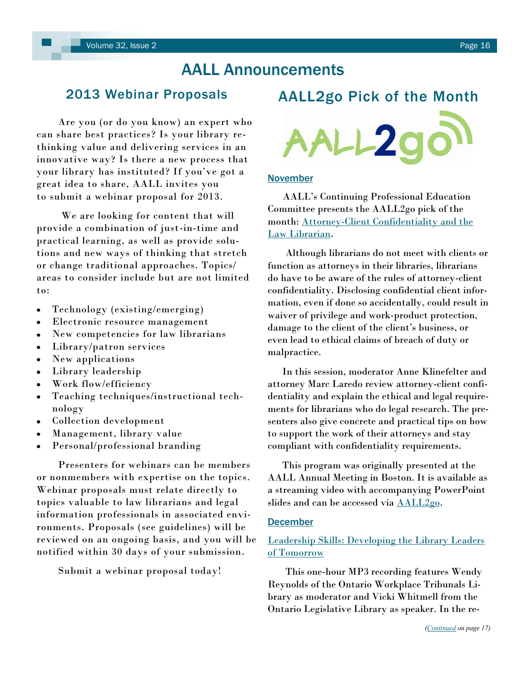## AALL Announcements

### <span id="page-15-0"></span>2013 Webinar Proposals

 Are you (or do you know) an expert who can share best practices? Is your library rethinking value and delivering services in an innovative way? Is there a new process that your library has instituted? If you've got a great idea to share, AALL invites you to submit a webinar proposal for 2013.

 We are looking for content that will provide a combination of just-in-time and practical learning, as well as provide solutions and new ways of thinking that stretch or change traditional approaches. Topics/ areas to consider include but are not limited to:

- Technology (existing/emerging)  $\bullet$
- Electronic resource management  $\bullet$
- $\bullet$ New competencies for law librarians
- Library/patron services  $\bullet$
- New applications
- Library leadership
- Work flow/efficiency  $\bullet$
- Teaching techniques/instructional tech- $\bullet$ nology
- Collection development
- Management, library value
- Personal/professional branding

 Presenters for webinars can be members or nonmembers with expertise on the topics. Webinar proposals must relate directly to topics valuable to law librarians and legal information professionals in associated environments. Proposals (see guidelines) will be reviewed on an ongoing basis, and you will be notified within 30 days of your submission.

Submit a webinar proposal today!



#### November

 AALL's Continuing Professional Education Committee presents the AALL2go pick of the month: [Attorney-Client Confidentiality and the](http://aall.sclivelearningcenter.com/index.aspx?PID=6278&SID=153743)  [Law Librarian.](http://aall.sclivelearningcenter.com/index.aspx?PID=6278&SID=153743)

 Although librarians do not meet with clients or function as attorneys in their libraries, librarians do have to be aware of the rules of attorney-client confidentiality. Disclosing confidential client information, even if done so accidentally, could result in waiver of privilege and work-product protection, damage to the client of the client's business, or even lead to ethical claims of breach of duty or malpractice.

 In this session, moderator Anne Klinefelter and attorney Marc Laredo review attorney-client confidentiality and explain the ethical and legal requirements for librarians who do legal research. The presenters also give concrete and practical tips on how to support the work of their attorneys and stay compliant with confidentiality requirements.

 This program was originally presented at the AALL Annual Meeting in Boston. It is available as a streaming video with accompanying PowerPoint slides and can be accessed via  $\text{ALL2go}$ .

### December

### [Leadership Skills: Developing the Library Leaders](http://aall.sclivelearningcenter.com/index.aspx?PID=6278&SID=121775)  [of Tomorrow](http://aall.sclivelearningcenter.com/index.aspx?PID=6278&SID=121775)

 This one-hour MP3 recording features Wendy Reynolds of the Ontario Workplace Tribunals Library as moderator and Vicki Whitmell from the Ontario Legislative Library as speaker. In the re-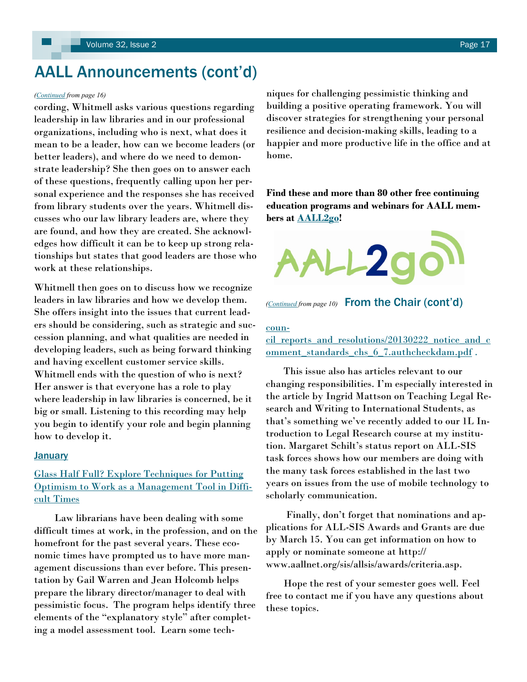## <span id="page-16-0"></span>AALL Announcements (cont'd)

cording, Whitmell asks various questions regarding leadership in law libraries and in our professional organizations, including who is next, what does it mean to be a leader, how can we become leaders (or better leaders), and where do we need to demonstrate leadership? She then goes on to answer each of these questions, frequently calling upon her personal experience and the responses she has received from library students over the years. Whitmell discusses who our law library leaders are, where they are found, and how they are created. She acknowledges how difficult it can be to keep up strong relationships but states that good leaders are those who work at these relationships.

Whitmell then goes on to discuss how we recognize leaders in law libraries and how we develop them. She offers insight into the issues that current leaders should be considering, such as strategic and succession planning, and what qualities are needed in developing leaders, such as being forward thinking and having excellent customer service skills. Whitmell ends with the question of who is next? Her answer is that everyone has a role to play where leadership in law libraries is concerned, be it big or small. Listening to this recording may help you begin to identify your role and begin planning how to develop it.

#### January

### [Glass Half Full? Explore Techniques for Putting](http://aall.sclivelearningcenter.com/index.aspx?PID=6278&SID=121434)  [Optimism to Work as a Management Tool in Diffi](http://aall.sclivelearningcenter.com/index.aspx?PID=6278&SID=121434)[cult Times](http://aall.sclivelearningcenter.com/index.aspx?PID=6278&SID=121434)

 Law librarians have been dealing with some difficult times at work, in the profession, and on the homefront for the past several years. These economic times have prompted us to have more management discussions than ever before. This presentation by Gail Warren and Jean Holcomb helps prepare the library director/manager to deal with pessimistic focus. The program helps identify three elements of the "explanatory style" after completing a model assessment tool. Learn some tech-

*[\(Continued](#page-15-0) from page 16)* niques for challenging pessimistic thinking and building a positive operating framework. You will discover strategies for strengthening your personal resilience and decision-making skills, leading to a happier and more productive life in the office and at home.

> **Find these and more than 80 other free continuing education programs and webinars for AALL members at [AALL2go!](http://aall.sclivelearningcenter.com/index.aspx)**





#### [coun-](http://www.americanbar.org/content/dam/aba/administrative/legal_education_and_admissions_to_the_bar/council_reports_and_resolutions/20130222_notice_and_comment_standards_chs_6_7.authcheckdam.pdf)

[cil\\_reports\\_and\\_resolutions/20130222\\_notice\\_and\\_c](http://www.americanbar.org/content/dam/aba/administrative/legal_education_and_admissions_to_the_bar/council_reports_and_resolutions/20130222_notice_and_comment_standards_chs_6_7.authcheckdam.pdf) omment standards chs 6 7.authcheckdam.pdf.

 This issue also has articles relevant to our changing responsibilities. I'm especially interested in the article by Ingrid Mattson on Teaching Legal Research and Writing to International Students, as that's something we've recently added to our 1L Introduction to Legal Research course at my institution. Margaret Schilt's status report on ALL-SIS task forces shows how our members are doing with the many task forces established in the last two years on issues from the use of mobile technology to scholarly communication.

 Finally, don't forget that nominations and applications for ALL-SIS Awards and Grants are due by March 15. You can get information on how to apply or nominate someone at http:// www.aallnet.org/sis/allsis/awards/criteria.asp.

 Hope the rest of your semester goes well. Feel free to contact me if you have any questions about these topics.